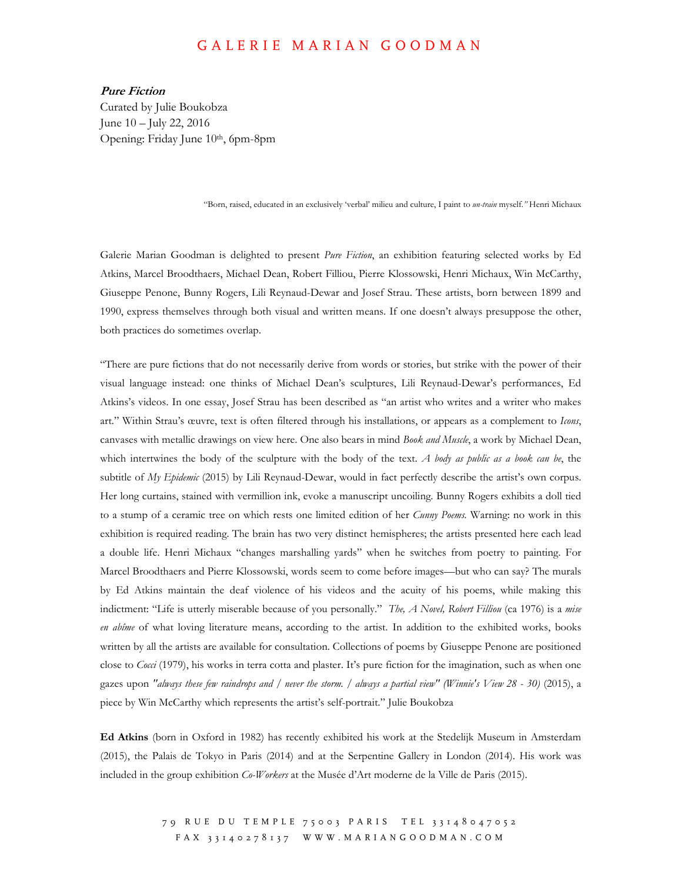## GALERIE MARIAN GOODMAN

**Pure Fiction**  Curated by Julie Boukobza June 10 – July 22, 2016 Opening: Friday June 10th, 6pm-8pm

"Born, raised, educated in an exclusively 'verbal' milieu and culture, I paint to *un-train* myself.*"* Henri Michaux

Galerie Marian Goodman is delighted to present *Pure Fiction*, an exhibition featuring selected works by Ed Atkins, Marcel Broodthaers, Michael Dean, Robert Filliou, Pierre Klossowski, Henri Michaux, Win McCarthy, Giuseppe Penone, Bunny Rogers, Lili Reynaud-Dewar and Josef Strau. These artists, born between 1899 and 1990, express themselves through both visual and written means. If one doesn't always presuppose the other, both practices do sometimes overlap.

"There are pure fictions that do not necessarily derive from words or stories, but strike with the power of their visual language instead: one thinks of Michael Dean's sculptures, Lili Reynaud-Dewar's performances, Ed Atkins's videos. In one essay, Josef Strau has been described as "an artist who writes and a writer who makes art." Within Strau's œuvre, text is often filtered through his installations, or appears as a complement to *Icons*, canvases with metallic drawings on view here. One also bears in mind *Book and Muscle*, a work by Michael Dean, which intertwines the body of the sculpture with the body of the text. *A body as public as a book can be*, the subtitle of *My Epidemic* (2015) by Lili Reynaud-Dewar, would in fact perfectly describe the artist's own corpus. Her long curtains, stained with vermillion ink, evoke a manuscript uncoiling. Bunny Rogers exhibits a doll tied to a stump of a ceramic tree on which rests one limited edition of her *Cunny Poems.* Warning: no work in this exhibition is required reading. The brain has two very distinct hemispheres; the artists presented here each lead a double life. Henri Michaux "changes marshalling yards" when he switches from poetry to painting. For Marcel Broodthaers and Pierre Klossowski, words seem to come before images—but who can say? The murals by Ed Atkins maintain the deaf violence of his videos and the acuity of his poems, while making this indictment: "Life is utterly miserable because of you personally." *The, A Novel, Robert Filliou* (ca 1976) is a *mise en abîme* of what loving literature means, according to the artist. In addition to the exhibited works, books written by all the artists are available for consultation. Collections of poems by Giuseppe Penone are positioned close to *Cocci* (1979), his works in terra cotta and plaster. It's pure fiction for the imagination, such as when one gazes upon *"always these few raindrops and / never the storm. / always a partial view" (Winnie's View 28 - 30)* (2015), a piece by Win McCarthy which represents the artist's self-portrait." Julie Boukobza

**Ed Atkins** (born in Oxford in 1982) has recently exhibited his work at the Stedelijk Museum in Amsterdam (2015), the Palais de Tokyo in Paris (2014) and at the Serpentine Gallery in London (2014). His work was included in the group exhibition *Co-Workers* at the Musée d'Art moderne de la Ville de Paris (2015).

> 79 RUE DU TEMPLE 75003 PARIS TEL 33148047052 F A X 3 3 1 4 0 2 7 8 1 3 7 W W W . M A R I A N G O O D M A N . C O M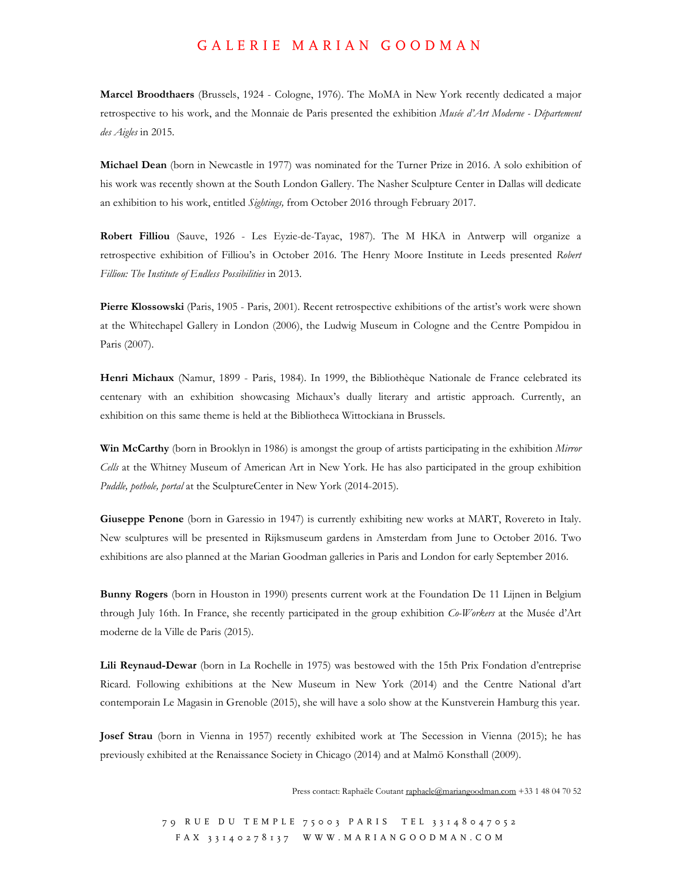## GALERIE MARIAN GOODMAN

**Marcel Broodthaers** (Brussels, 1924 - Cologne, 1976). The MoMA in New York recently dedicated a major retrospective to his work, and the Monnaie de Paris presented the exhibition *Musée d'Art Moderne - Département des Aigles* in 2015.

**Michael Dean** (born in Newcastle in 1977) was nominated for the Turner Prize in 2016. A solo exhibition of his work was recently shown at the South London Gallery. The Nasher Sculpture Center in Dallas will dedicate an exhibition to his work, entitled *Sightings,* from October 2016 through February 2017.

**Robert Filliou** (Sauve, 1926 - Les Eyzie-de-Tayac, 1987). The M HKA in Antwerp will organize a retrospective exhibition of Filliou's in October 2016. The Henry Moore Institute in Leeds presented *Robert Filliou: The Institute of Endless Possibilities* in 2013.

**Pierre Klossowski** (Paris, 1905 - Paris, 2001). Recent retrospective exhibitions of the artist's work were shown at the Whitechapel Gallery in London (2006), the Ludwig Museum in Cologne and the Centre Pompidou in Paris (2007).

**Henri Michaux** (Namur, 1899 - Paris, 1984). In 1999, the Bibliothèque Nationale de France celebrated its centenary with an exhibition showcasing Michaux's dually literary and artistic approach. Currently, an exhibition on this same theme is held at the Bibliotheca Wittockiana in Brussels.

**Win McCarthy** (born in Brooklyn in 1986) is amongst the group of artists participating in the exhibition *Mirror Cells* at the Whitney Museum of American Art in New York. He has also participated in the group exhibition *Puddle, pothole, portal* at the SculptureCenter in New York (2014-2015).

**Giuseppe Penone** (born in Garessio in 1947) is currently exhibiting new works at MART, Rovereto in Italy. New sculptures will be presented in Rijksmuseum gardens in Amsterdam from June to October 2016. Two exhibitions are also planned at the Marian Goodman galleries in Paris and London for early September 2016.

**Bunny Rogers** (born in Houston in 1990) presents current work at the Foundation De 11 Lijnen in Belgium through July 16th. In France, she recently participated in the group exhibition *Co-Workers* at the Musée d'Art moderne de la Ville de Paris (2015).

**Lili Reynaud-Dewar** (born in La Rochelle in 1975) was bestowed with the 15th Prix Fondation d'entreprise Ricard. Following exhibitions at the New Museum in New York (2014) and the Centre National d'art contemporain Le Magasin in Grenoble (2015), she will have a solo show at the Kunstverein Hamburg this year.

**Josef Strau** (born in Vienna in 1957) recently exhibited work at The Secession in Vienna (2015); he has previously exhibited at the Renaissance Society in Chicago (2014) and at Malmö Konsthall (2009).

Press contact: Raphaële Coutant raphaele@mariangoodman.com +33 1 48 04 70 52

79 RUE DU TEMPLE 75003 PARIS TEL 33148047052 F A X 3 3 1 4 0 2 7 8 1 3 7 W W W . M A R I A N G O O D M A N . C O M